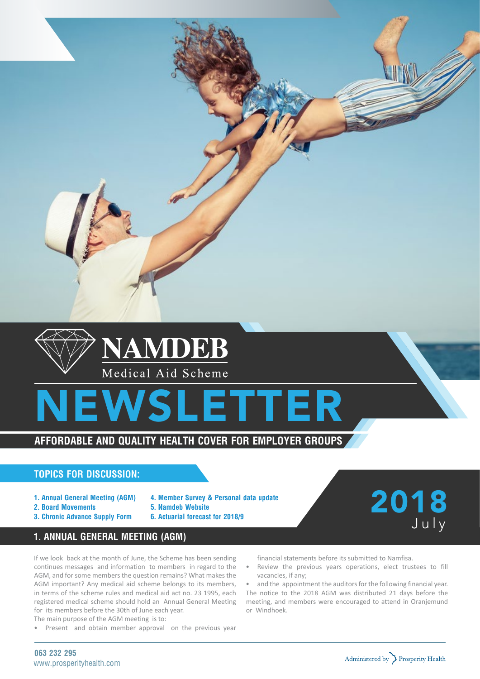





# **Affordable and quality health cover for employer groups**

## **Topics for discussion:**

- **1. Annual General Meeting (AGM)**
- **2. Board Movements**
- **3. Chronic Advance Supply Form**
- **4. Member Survey & Personal data update**
- **5. Namdeb Website**
	- **6. Actuarial forecast for 2018/9**

# 2018 July

## **1. Annual General Meeting (AGM)**

If we look back at the month of June, the Scheme has been sending continues messages and information to members in regard to the AGM, and for some members the question remains? What makes the AGM important? Any medical aid scheme belongs to its members, in terms of the scheme rules and medical aid act no. 23 1995, each registered medical scheme should hold an Annual General Meeting for its members before the 30th of June each year.

- The main purpose of the AGM meeting is to:
- Present and obtain member approval on the previous year

financial statements before its submitted to Namfisa.

• Review the previous years operations, elect trustees to fill vacancies, if any;

• and the appointment the auditors for the following financial year. The notice to the 2018 AGM was distributed 21 days before the meeting, and members were encouraged to attend in Oranjemund or Windhoek.

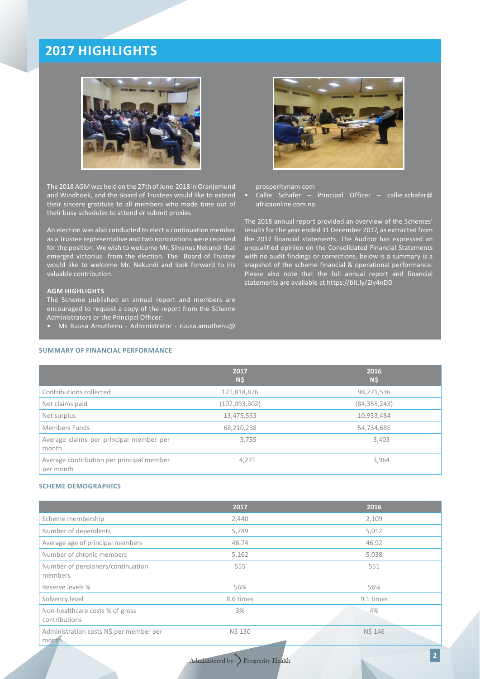# **2017 Highlights**



The 2018 AGM was held on the 27th of June 2018 in Oranjemund and Windhoek, and the Board of Trustees would like to extend their sincere gratitute to all members who made time out of their busy schedules to attend or submit proxies.

An election was also conducted to elect a continuation member as a Trustee representative and two nominations were received for the position. We wish to welcome Mr. Silvanus Nekundi that emerged victorius from the election. The Board of Trustee would like to welcome Mr. Nekundi and look forward to his valuable contribution.

## **AGM HIGHLIGHTS**

The Scheme published an annual report and members are encouraged to request a copy of the report from the Scheme Administrators or the Principal Officer:

• Ms Ruusa Amuthenu - Administrator - ruusa.amuthenu@

## **SUMMARY OF FINANCIAL PERFORMANCE**



prosperitynam.com

Callie Schafer – Principal Officer – callie.schafer@ africaonline.com.na

The 2018 annual report provided an overview of the Schemes' results for the year ended 31 December 2017, as extracted from the 2017 financial statements. The Auditor has expressed an unqualified opinion on the Consolidated Financial Statements with no audit findings or corrections, below is a summary is a snapshot of the scheme financial & operational performance. Please also note that the full annual report and financial statements are available at https://bit.ly/2ly4nDD

|                                                        | 2017<br>N\$     | 2016<br>N\$    |
|--------------------------------------------------------|-----------------|----------------|
| Contributions collected                                | 121,818,876     | 98,271,536     |
| Net claims paid                                        | (107, 093, 302) | (84, 355, 243) |
| Net surplus                                            | 13,475,553      | 10,933,484     |
| Members Funds                                          | 68,210,238      | 54,734,685     |
| Average claims per principal member per<br>month       | 3,755           | 3,403          |
| Average contribution per principal member<br>per month | 4,271           | 3,964          |

#### **Scheme Demographics**

|                                                  | 2017      | 2016      |
|--------------------------------------------------|-----------|-----------|
| Scheme membership                                | 2,440     | 2,109     |
| Number of dependents                             | 5,789     | 5,012     |
| Average age of principal members                 | 46.74     | 46.92     |
| Number of chronic members                        | 5,162     | 5,038     |
| Number of pensioners/continuation<br>members     | 555       | 551       |
| Reserve levels %                                 | 56%       | 56%       |
| Solvency level                                   | 8.6 times | 9.1 times |
| Non-healthcare costs % of gross<br>contributions | 3%        | 4%        |
| Administration costs N\$ per member per<br>month | N\$ 130   | N\$ 146   |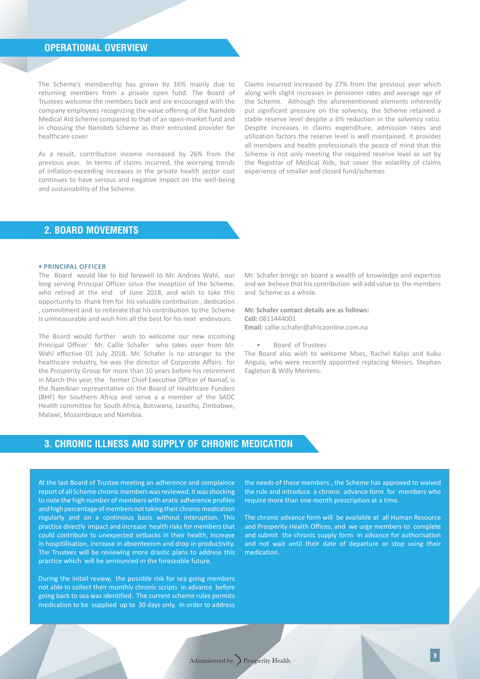## **OPERATIONAL OVERVIEW**

The Scheme's membership has grown by 16% mainly due to returning members from a private open fund. The Board of Trustees welcome the members back and are encouraged with the company employees recognizing the value offering of the Namdeb Medical Aid Scheme compared to that of an open-market fund and in choosing the Namdeb Scheme as their entrusted provider for healthcare cover.

As a result, contribution income increased by 26% from the previous year. In terms of claims incurred, the worrying trends of inflation-exceeding increases in the private health sector cost continues to have serious and negative impact on the well-being and sustainability of the Scheme.

Claims incurred increased by 27% from the previous year which along with slight increases in pensioner rates and average age of the Scheme. Although the aforementioned elements inherently put significant pressure on the solvency, the Scheme retained a stable reserve level despite a 6% reduction in the solvency ratio. Despite increases in claims expenditure, admission rates and utilization factors the reserve level is well maintained. It provides all members and health professionals the peace of mind that the Scheme is not only meeting the required reserve level as set by the Registrar of Medical Aids, but cover the volatility of claims experience of smaller and closed fund/schemes

## **2. Board Movements**

#### **• Principal Officer**

The Board would like to bid farewell to Mr. Andries Wahl, our long serving Principal Officer since the inception of the Scheme, who retired at the end of June 2018, and wish to take this opportunity to thank him for his valuable contribution , dedication , commitment and to reiterate that his contribution to the Scheme is unmeasurable and wish him all the best for his next endevours.

The Board would further wish to welcome our new incoming Principal Officer Mr. Callie Schafer who takes over from Mr. Wahl effective 01 July 2018. Mr. Schafer is no stranger to the healthcare industry, he was the director of Corporate Affairs for the Prosperity Group for more than 10 years before his retirement in March this year, the former Chief Executive Officer of Namaf, is the Namibian representative on the Board of Healthcare Funders (BHF) for Southern Africa and serve a a member of the SADC Health committee for South Africa, Botswana, Lesotho, Zimbabwe, Malawi, Mozambique and Namibia.

Mr. Schafer brings on board a wealth of knowledge and expertise and we believe that his contribution will add value to the members and Scheme as a whole.

### **Mr. Schafer contact details are as follows: Cell:** 0811444001 **Email:** callie.schafer@africaonline.com.na

Board of Trustees

The Board also wish to welcome Mses, Rachel Kalipi and Kuku Angula, who were recently appointed replacing Messrs. Stephan Eagleton & Willy Mertens.

## **3. Chronic illness and supply of chronic medication**

At the last Board of Trustee meeting an adherence and complaince report of all Scheme chronic members was reviewed. It was shocking to note the high number of members with eratic adherence profiles and high percentage of members not taking their chronic medication regularly and on a continious basis without interuption. This practice directly impact and increase health risks for members that could contribute to unexpected setbacks in their health, increase in hospitilisation, increase in absenteeism and drop in productivity. The Trustees will be reviewing more drastic plans to address this practice which will be announced in the foreseable future.

During the initail review, the possible risk for sea going members not able to collect their monthly chronic scripts in advance before going back to sea was identified. The current scheme rules permits medication to be supplied up to 30 days only. In order to address the needs of these members , the Scheme has approved to waived the rule and introduce a chronic advance form for members who require more than one month prescription at a time.

The chronic advance form will be available at all Human Resource and Prosperity Health Offices, and we urge members to complete and submit the chronic supply form in advance for authorisation and not wait until their date of departure or stop using their medication.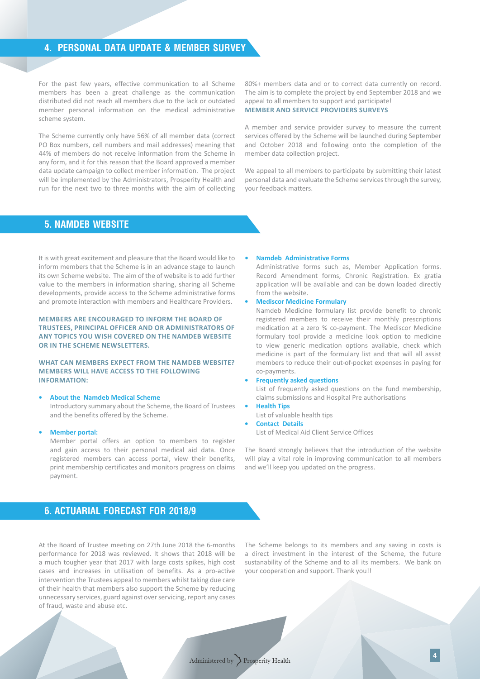## **4. Personal Data update & Member Survey**

For the past few years, effective communication to all Scheme members has been a great challenge as the communication distributed did not reach all members due to the lack or outdated member personal information on the medical administrative scheme system.

The Scheme currently only have 56% of all member data (correct PO Box numbers, cell numbers and mail addresses) meaning that 44% of members do not receive information from the Scheme in any form, and it for this reason that the Board approved a member data update campaign to collect member information. The project will be implemented by the Administrators, Prosperity Health and run for the next two to three months with the aim of collecting

80%+ members data and or to correct data currently on record. The aim is to complete the project by end September 2018 and we appeal to all members to support and participate! **Member and service providers surveys**

A member and service provider survey to measure the current services offered by the Scheme will be launched during September and October 2018 and following onto the completion of the member data collection project.

We appeal to all members to participate by submitting their latest personal data and evaluate the Scheme services through the survey, your feedback matters.

## **5. Namdeb Website**

It is with great excitement and pleasure that the Board would like to inform members that the Scheme is in an advance stage to launch its own Scheme website. The aim of the of website is to add further value to the members in information sharing, sharing all Scheme developments, provide access to the Scheme administrative forms and promote interaction with members and Healthcare Providers.

**Members are encouraged to inform the Board of Trustees, Principal Officer and or Administrators of any topics you wish covered on the Namdeb website or in the Scheme newsletters.** 

### **What can members expect from the Namdeb Website? Members will have access to the following information:**

#### **• About the Namdeb Medical Scheme**

Introductory summary about the Scheme, the Board of Trustees and the benefits offered by the Scheme.

#### **• Member portal:**

Member portal offers an option to members to register and gain access to their personal medical aid data. Once registered members can access portal, view their benefits, print membership certificates and monitors progress on claims payment.

#### **• Namdeb Administrative Forms**

 Administrative forms such as, Member Application forms. Record Amendment forms, Chronic Registration. Ex gratia application will be available and can be down loaded directly from the website.

## **• Mediscor Medicine Formulary**

 Namdeb Medicine formulary list provide benefit to chronic registered members to receive their monthly prescriptions medication at a zero % co-payment. The Mediscor Medicine formulary tool provide a medicine look option to medicine to view generic medication options available, check which medicine is part of the formulary list and that will all assist members to reduce their out-of-pocket expenses in paying for co-payments.

#### **• Frequently asked questions**

 List of frequently asked questions on the fund membership, claims submissions and Hospital Pre authorisations

#### **• Health Tips**

 List of valuable health tips

**• Contact Details**

 List of Medical Aid Client Service Offices

The Board strongly believes that the introduction of the website will play a vital role in improving communication to all members and we'll keep you updated on the progress.

## **6. Actuarial forecast for 2018/9**

At the Board of Trustee meeting on 27th June 2018 the 6-months performance for 2018 was reviewed. It shows that 2018 will be a much tougher year that 2017 with large costs spikes, high cost cases and increases in utilisation of benefits. As a pro-active intervention the Trustees appeal to members whilst taking due care of their health that members also support the Scheme by reducing unnecessary services, guard against overservicing, report any cases of fraud, waste and abuse etc.

The Scheme belongs to its members and any saving in costs is a direct investment in the interest of the Scheme, the future sustanability of the Scheme and to all its members. We bank on your cooperation and support. Thank you!!